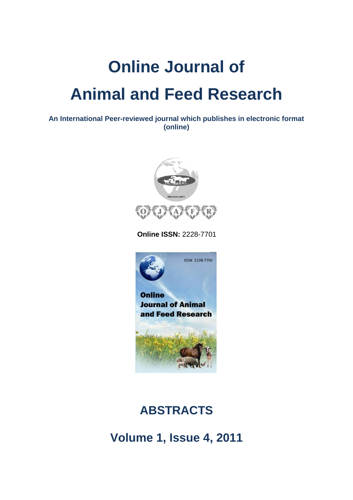# **Online Journal of Animal and Feed Research**

**An International Peer-reviewed journal which publishes in electronic format (online)**



 **Online ISSN:** 2228-7701



## **ABSTRACTS**

**Volume 1, Issue 4, 2011**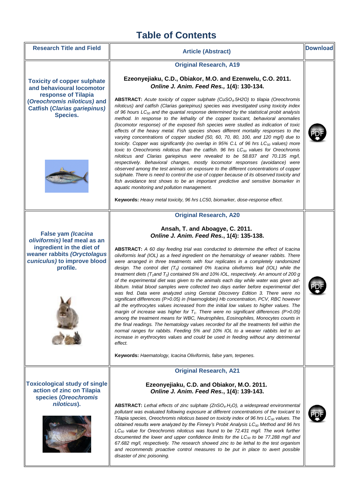### **Table of Contents**

Research Title and Field  $\parallel$  **Article (Abstract) Communist Executive System Pownload** 

#### **Original Research, A19**

**Ezeonyejiaku, C.D., Obiakor, M.O. and Ezenwelu, C.O. 2011.**  *Online J. Anim. Feed Res.,* **1(4): 130-134.**

**ABSTRACT:** *Acute toxicity of copper sulphate (CuSO4.5H2O) to tilapia (Oreochromis niloticus) and catfish (Clarias gariepinus) species was investigated using toxicity index of 96 hours LC<sup>50</sup> and the quantal response determined by the statistical probit analysis method. In response to the lethality of the copper toxicant, behavioral anomalies (locomotor response) of the exposed fish species were studied as indication of toxic effects of the heavy metal. Fish species shows different mortality responses to the varying concentrations of copper studied (50, 60, 70, 80, 100, and 120 mg/l) due to toxicity. Copper was significantly (no overlap in 95% C.L of 96 hrs LC<sup>50</sup> values) more toxic to Oreochromis niloticus than the catfish. 96 hrs LC<sup>50</sup> values for Oreochromis niloticus and Clarias gariepinus were revealed to be 58.837 and 70.135 mg/l, respectively. Behavioral changes, mostly locomotor responses (avoidance) were observed among the test animals on exposure to the different concentrations of copper sulphate. There is need to control the use of copper because of its observed toxicity and fish avoidance test shows to be an important predictive and sensitive biomarker in* 

**Keywords:** *Heavy metal toxicity, 96 hrs LC50, biomarker, dose-response effect.*

**Original Research, A20**

**Ansah, T. and Aboagye, C. 2011.**

**Toxicity of copper sulphate and behavioural locomotor response of Tilapia (***Oreochromis niloticus)* **and Catfish (***Clarias gariepinus)* **Species.**



**False yam** *(Icacina oliviformis)* **leaf meal as an ingredient in the diet of weaner rabbits** *(Oryctolagus cuniculus)* **to improve blood profile.**



*Online J. Anim. Feed Res.***, 1(4): 135-138. ABSTRACT:** *A 60 day feeding trial was conducted to determine the effect of Icacina oliviformis leaf (IOL) as a feed ingredient on the hematology of weaner rabbits. There were arranged in three treatments with four replicates in a completely randomized design. The control diet (T0) contained 0% Icacina oliviformis leaf (IOL) while the treatment diets (T1and T2) contained 5% and 10% IOL, respectively. An amount of 200 g of the experimental diet was given to the animals each day while water was given ad-*

*aquatic monitoring and pollution management.*



**Keywords:** *Haematology, Icacina Oliviformis, false yam, terpenes.*

#### **Original Research, A21**

#### **Ezeonyejiaku, C.D. and Obiakor, M.O. 2011.** *Online J. Anim. Feed Res.***, 1(4): 139-143.**

**ABSTRACT:** *Lethal effects of zinc sulphate (ZnSO4.H2O), a widespread environmental pollutant was evaluated following exposure at different concentrations of the toxicant to Tilapia species, Oreochromis niloticus based on toxicity index of 96 hrs LC<sup>50</sup> values. The obtained results were analyzed by the Finney's Probit Analysis LC<sup>50</sup> Method and 96 hrs LC<sup>50</sup> value for Oreochromis niloticus was found to be 72.431 mg/l. The work further documented the lower and upper confidence limits for the LC<sup>50</sup> to be 77.288 mg/l and 67.682 mg/l, respectively. The research showed zinc to be lethal to the test organism and recommends proactive control measures to be put in place to avert possible disaster of zinc poisoning.*



**Toxicological study of single action of zinc on Tilapia species (***Oreochromis* 

*niloticus***).**